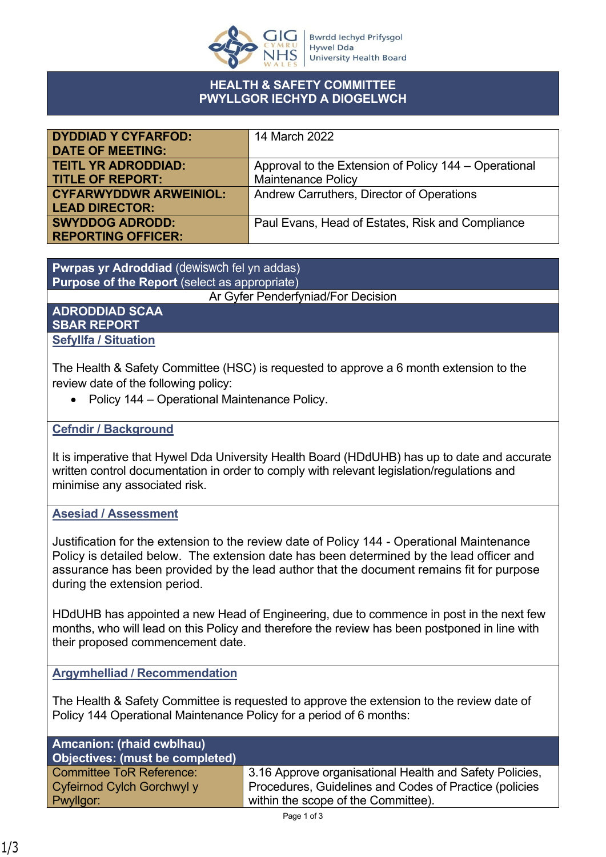

## **HEALTH & SAFETY COMMITTEE PWYLLGOR IECHYD A DIOGELWCH**

| <b>DYDDIAD Y CYFARFOD:</b>    | 14 March 2022                                         |
|-------------------------------|-------------------------------------------------------|
| <b>DATE OF MEETING:</b>       |                                                       |
| <b>TEITL YR ADRODDIAD:</b>    | Approval to the Extension of Policy 144 – Operational |
| <b>TITLE OF REPORT:</b>       | <b>Maintenance Policy</b>                             |
| <b>CYFARWYDDWR ARWEINIOL:</b> | Andrew Carruthers, Director of Operations             |
| <b>LEAD DIRECTOR:</b>         |                                                       |
| <b>SWYDDOG ADRODD:</b>        | Paul Evans, Head of Estates, Risk and Compliance      |
| <b>REPORTING OFFICER:</b>     |                                                       |

**Pwrpas yr Adroddiad** (dewiswch fel yn addas) **Purpose of the Report** (select as appropriate)

Ar Gyfer Penderfyniad/For Decision

**ADRODDIAD SCAA SBAR REPORT Sefyllfa / Situation** 

The Health & Safety Committee (HSC) is requested to approve a 6 month extension to the review date of the following policy:

• Policy 144 – Operational Maintenance Policy.

**Cefndir / Background**

It is imperative that Hywel Dda University Health Board (HDdUHB) has up to date and accurate written control documentation in order to comply with relevant legislation/regulations and minimise any associated risk.

## **Asesiad / Assessment**

Justification for the extension to the review date of Policy 144 - Operational Maintenance Policy is detailed below. The extension date has been determined by the lead officer and assurance has been provided by the lead author that the document remains fit for purpose during the extension period.

HDdUHB has appointed a new Head of Engineering, due to commence in post in the next few months, who will lead on this Policy and therefore the review has been postponed in line with their proposed commencement date.

**Argymhelliad / Recommendation**

The Health & Safety Committee is requested to approve the extension to the review date of Policy 144 Operational Maintenance Policy for a period of 6 months:

| Amcanion: (rhaid cwblhau)<br>Objectives: (must be completed) |                                                         |
|--------------------------------------------------------------|---------------------------------------------------------|
| <b>Committee ToR Reference:</b>                              | 3.16 Approve organisational Health and Safety Policies, |
| Cyfeirnod Cylch Gorchwyl y                                   | Procedures, Guidelines and Codes of Practice (policies  |
| Pwyllgor:                                                    | within the scope of the Committee).                     |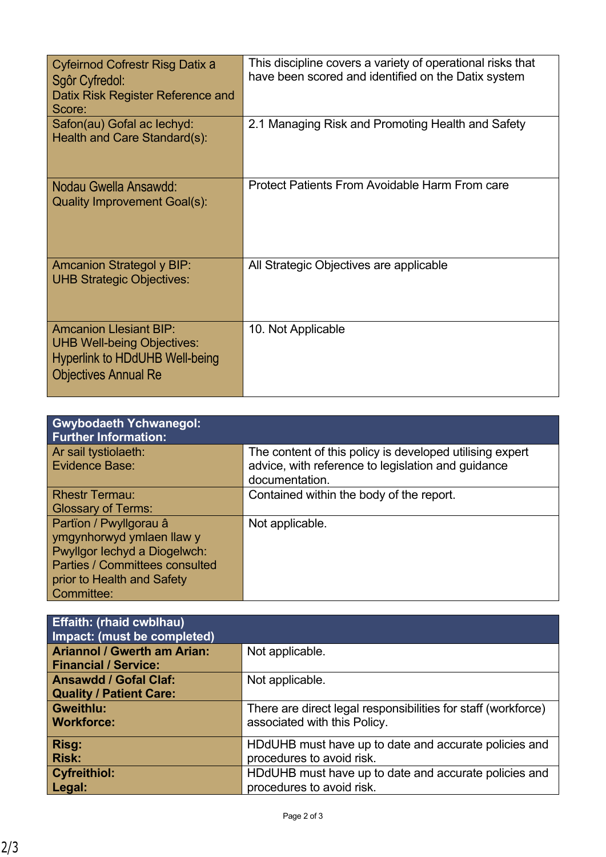| Cyfeirnod Cofrestr Risg Datix a<br>Sgôr Cyfredol:<br>Datix Risk Register Reference and<br>Score:                                           | This discipline covers a variety of operational risks that<br>have been scored and identified on the Datix system |
|--------------------------------------------------------------------------------------------------------------------------------------------|-------------------------------------------------------------------------------------------------------------------|
| Safon(au) Gofal ac lechyd:<br>Health and Care Standard(s):                                                                                 | 2.1 Managing Risk and Promoting Health and Safety                                                                 |
| Nodau Gwella Ansawdd:<br><b>Quality Improvement Goal(s):</b>                                                                               | Protect Patients From Avoidable Harm From care                                                                    |
| <b>Amcanion Strategol y BIP:</b><br><b>UHB Strategic Objectives:</b>                                                                       | All Strategic Objectives are applicable                                                                           |
| <b>Amcanion Llesiant BIP:</b><br><b>UHB Well-being Objectives:</b><br><b>Hyperlink to HDdUHB Well-being</b><br><b>Objectives Annual Re</b> | 10. Not Applicable                                                                                                |

| <b>Gwybodaeth Ychwanegol:</b><br><b>Further Information:</b> |                                                          |
|--------------------------------------------------------------|----------------------------------------------------------|
| Ar sail tystiolaeth:                                         | The content of this policy is developed utilising expert |
| <b>Evidence Base:</b>                                        | advice, with reference to legislation and guidance       |
|                                                              | documentation.                                           |
| <b>Rhestr Termau:</b>                                        | Contained within the body of the report.                 |
| <b>Glossary of Terms:</b>                                    |                                                          |
| Partïon / Pwyllgorau â                                       | Not applicable.                                          |
| ymgynhorwyd ymlaen llaw y                                    |                                                          |
| Pwyllgor lechyd a Diogelwch:                                 |                                                          |
| <b>Parties / Committees consulted</b>                        |                                                          |
| prior to Health and Safety                                   |                                                          |
| Committee:                                                   |                                                          |

| <b>Effaith: (rhaid cwblhau)</b><br>Impact: (must be completed)    |                                                               |
|-------------------------------------------------------------------|---------------------------------------------------------------|
| <b>Ariannol / Gwerth am Arian:</b><br><b>Financial / Service:</b> | Not applicable.                                               |
| <b>Ansawdd / Gofal Claf:</b><br><b>Quality / Patient Care:</b>    | Not applicable.                                               |
| <b>Gweithlu:</b>                                                  | There are direct legal responsibilities for staff (workforce) |
| <b>Workforce:</b>                                                 | associated with this Policy.                                  |
| Risg:                                                             | HDdUHB must have up to date and accurate policies and         |
| <b>Risk:</b>                                                      | procedures to avoid risk.                                     |
| <b>Cyfreithiol:</b>                                               | HDdUHB must have up to date and accurate policies and         |
| Legal:                                                            | procedures to avoid risk.                                     |